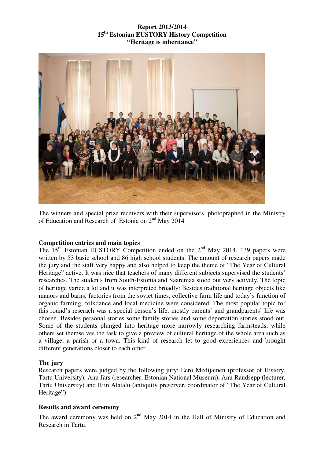## **Report 2013/2014 15th Estonian EUSTORY History Competition "Heritage is inheritance"**



The winners and special prize receivers with their supervisors, photopraphed in the Ministry of Education and Research of Estonia on 2<sup>nd</sup> May 2014

## **Competition entries and main topics**

The  $15<sup>th</sup>$  Estonian EUSTORY Competition ended on the  $2<sup>nd</sup>$  May 2014. 139 papers were written by 53 basic school and 86 high school students. The amount of research papers made the jury and the staff very happy and also helped to keep the theme of "The Year of Cultural Heritage" active. It was nice that teachers of many different subjects supervised the students' researches. The students from South-Estonia and Saaremaa stood out very actively. The topic of heritage varied a lot and it was interpreted broadly: Βesides traditional heritage objects like manors and barns, factories from the soviet times, collective farm life and today's function of organic farming, folkdance and local medicine were considered. The most popular topic for this round's reserach was a special person's life, mostly parents' and grandparents' life was chosen. Besides personal stories some family stories and some deportation stories stood out. Some of the students plunged into heritage more narrowly researching farmsteads, while others set themselves the task to give a preview of cultural heritage of the whole area such as a village, a parish or a town. This kind of research let to good experiences and brought different generations closer to each other.

## **The jury**

Research papers were judged by the following jury: Eero Medijainen (professor of History, Tartu University), Anu Järs (researcher, Estonian National Museum), Anu Raudsepp (lecturer, Tartu University) and Riin Alatalu (antiquity preserver, coordinator of "The Year of Cultural Heritage").

## **Results and award ceremony**

The award ceremony was held on  $2<sup>nd</sup>$  May 2014 in the Hall of Ministry of Education and Research in Tartu.